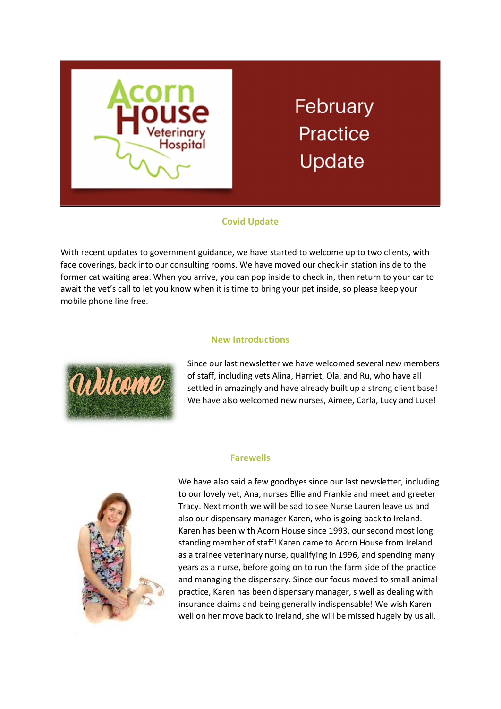

# **February Practice** Update

## Covid Update

With recent updates to government guidance, we have started to welcome up to two clients, with face coverings, back into our consulting rooms. We have moved our check-in station inside to the former cat waiting area. When you arrive, you can pop inside to check in, then return to your car to await the vet's call to let you know when it is time to bring your pet inside, so please keep your mobile phone line free.

### New Introductions



Since our last newsletter we have welcomed several new members of staff, including vets Alina, Harriet, Ola, and Ru, who have all settled in amazingly and have already built up a strong client base! We have also welcomed new nurses, Aimee, Carla, Lucy and Luke!

#### Farewells



We have also said a few goodbyes since our last newsletter, including to our lovely vet, Ana, nurses Ellie and Frankie and meet and greeter Tracy. Next month we will be sad to see Nurse Lauren leave us and also our dispensary manager Karen, who is going back to Ireland. Karen has been with Acorn House since 1993, our second most long standing member of staff! Karen came to Acorn House from Ireland as a trainee veterinary nurse, qualifying in 1996, and spending many years as a nurse, before going on to run the farm side of the practice and managing the dispensary. Since our focus moved to small animal practice, Karen has been dispensary manager, s well as dealing with insurance claims and being generally indispensable! We wish Karen well on her move back to Ireland, she will be missed hugely by us all.